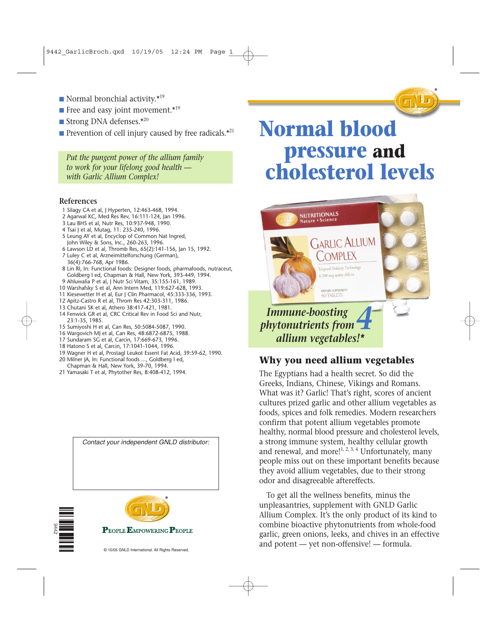- Normal bronchial activity. $*$ <sup>19</sup>
- Free and easy joint movement.\*<sup>19</sup>
- Strong DNA defenses.\*<sup>20</sup>
- **•** Prevention of cell injury caused by free radicals. $*^{21}$

*Put the pungent power of the allium family to work for your lifelong good health with Garlic Allium Complex!*

#### **References**

- 1 Silagy CA et al, J Hyperten, 12:463-468, 1994.
- 2 Agarwal KC, Med Res Rev, 16:111-124, Jan 1996.
- 3 Lau BHS et al, Nutr Res, 10:937-948, 1990.
- 4 Tsai J et al, Mutag, 11: 235-240, 1996.
- 5 Leung AY et al, Encyclop of Common Nat Ingred, John Wiley & Sons, Inc., 260-263, 1996.
- 6 Lawson LD et al, Thromb Res, 65(2):141-156, Jan 15, 1992.
- 7 Luley C et al, Arzneimittelforschung (German), 36(4):766-768, Apr 1986.
- 8 Lin RI, In: Functional foods: Designer foods, pharmafoods, nutraceut, Goldberg I ed, Chapman & Hall, New York, 393-449, 1994.
- 9 Ahluwalia P et al, J Nutr Sci Vitam, 35:155-161, 1989.
- 10 Warshafsky S et al, Ann Intern Med, 119:627-628, 1993.
- 11 Kiesewetter H et al, Eur J Clin Pharmacol, 45:333-336, 1993.
- 12 Apitz-Castro R et al, Throm Res 42:303-311, 1986. 13 Chutani SK et al, Athero 38:417-421, 1981.
- 14 Fenwick GR et al, CRC Critical Rev in Food Sci and Nutr, 23:1-35, 1985.
- 15 Sumiyoshi H et al, Can Res, 50:5084-5087, 1990.
- 16 Wargovich MJ et al, Can Res, 48:6872-6875, 1988.
- 17 Sundaram SG et al, Carcin, 17:669-673, 1996.
- 18 Hatono S et al, Carcin, 17:1041-1044, 1996.
- 19 Wagner H et al, Prostagl Leukot Essent Fat Acid, 39:59-62, 1990.
- 20 Milner JA, In: Functional foods ..., Goldberg I ed, Chapman & Hall, New York, 39-70, 1994.
- 21 Yamasaki T et al, Phytother Res, 8:408-412, 1994.

*Contact your independent GNLD distributor:*





© 10/05 GNLD International. All Rights Reserved.

# **Normal blood pressure and cholesterol levels**



### **Why you need allium vegetables**

The Egyptians had a health secret. So did the Greeks, Indians, Chinese, Vikings and Romans. What was it? Garlic! That's right, scores of ancient cultures prized garlic and other allium vegetables as foods, spices and folk remedies. Modern researchers confirm that potent allium vegetables promote healthy, normal blood pressure and cholesterol levels, a strong immune system, healthy cellular growth and renewal, and more!<sup>1, 2, 3, 4</sup> Unfortunately, many people miss out on these important benefits because they avoid allium vegetables, due to their strong odor and disagreeable aftereffects.

To get all the wellness benefits, minus the unpleasantries, supplement with GNLD Garlic Allium Complex. It's the only product of its kind to combine bioactive phytonutrients from whole-food garlic, green onions, leeks, and chives in an effective and potent — yet non-offensive! — formula.